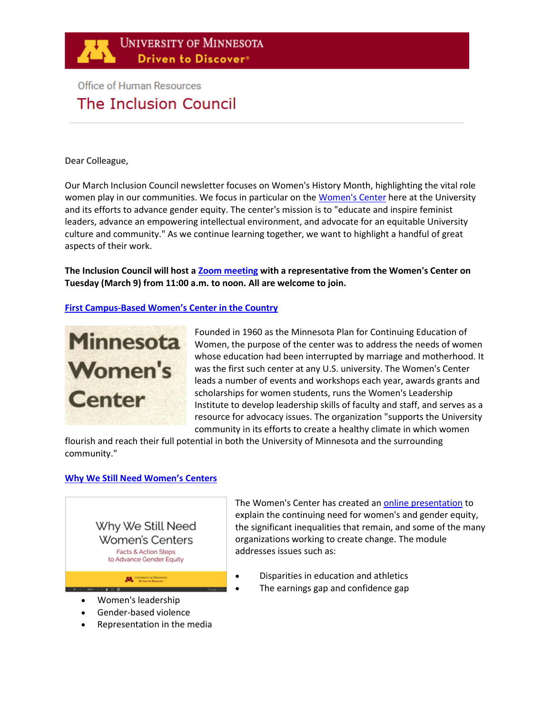

# **Office of Human Resources** The Inclusion Council

#### Dear Colleague,

Our March Inclusion Council newsletter focuses on Women's History Month, highlighting the vital role women play in our communities. We focus in particular on th[e Women's Center](https://womenscenter.umn.edu/) here at the University and its efforts to advance gender equity. The center's mission is to "educate and inspire feminist leaders, advance an empowering intellectual environment, and advocate for an equitable University culture and community." As we continue learning together, we want to highlight a handful of great aspects of their work.

**The Inclusion Council will host a [Zoom meeting](https://www.google.com/url?q=https://umn.zoom.us/j/476630904&sa=D&source=calendar&ust=1615315215673000&usg=AOvVaw3sfSpx5zCI-WT1lgv0Fj6B) with a representative from the Women's Center on Tuesday (March 9) from 11:00 a.m. to noon. All are welcome to join.**

# **First Campus-[Based Women's Center in the Country](https://womenscenter.umn.edu/about)**



Founded in 1960 as the Minnesota Plan for Continuing Education of Women, the purpose of the center was to address the needs of women whose education had been interrupted by marriage and motherhood. It was the first such center at any U.S. university. The Women's Center leads a number of events and workshops each year, awards grants and scholarships for women students, runs the Women's Leadership Institute to develop leadership skills of faculty and staff, and serves as a resource for advocacy issues. The organization "supports the University community in its efforts to create a healthy climate in which women

flourish and reach their full potential in both the University of Minnesota and the surrounding community."

### **[Why We Still Need Women's Centers](https://womenscenter.umn.edu/facts-and-action-steps-advance-gender-equity)**



The Women's Center has created a[n online presentation](https://womenscenter.umn.edu/facts-and-action-steps-advance-gender-equity) to explain the continuing need for women's and gender equity, the significant inequalities that remain, and some of the many organizations working to create change. The module addresses issues such as:

- Disparities in education and athletics
- The earnings gap and confidence gap
- Women's leadership
- Gender-based violence
- Representation in the media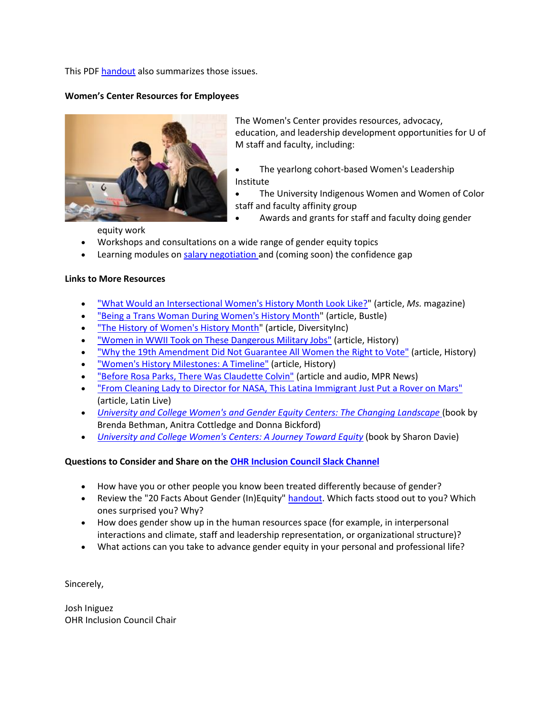This PD[F handout](https://drive.google.com/file/d/1qzizWMpLkTAzlomG2aNEWBJuo0vB6AD4/view) also summarizes those issues.

# **Women's Center Resources for Employees**



The Women's Center provides resources, advocacy, education, and leadership development opportunities for U of M staff and faculty, including:

- The yearlong cohort-based Women's Leadership Institute
- The University Indigenous Women and Women of Color staff and faculty affinity group
	- Awards and grants for staff and faculty doing gender

equity work

- Workshops and consultations on a wide range of gender equity topics
- Learning modules on [salary negotiation a](https://womenscenter.umn.edu/online-module-salary-negotiation)nd (coming soon) the confidence gap

#### **Links to More Resources**

- ["What Would an Intersectional Women's History Month Look Like?"](https://msmagazine.com/2011/03/10/what-does-an-intersectional-womens-history-month-look-like/) (article, *Ms.* magazine)
- ["Being a Trans Woman During Women's History Month"](https://www.bustle.com/articles/146556-im-a-queer-trans-woman-and-womens-history-month-erases-me-from-history) (article, Bustle)
- ["The History of Women's History Month"](https://www.diversityinc.com/the-history-of-womens-history-month/?utm_medium=email&_hsmi=113604394&_hsenc=p2ANqtz--wvPBZUdupS1Itxqt1E4TF-UJTWF1aHTIg3cde8F76j-jKZ-ZTMDiYy92rP4jsU6oj2BH4Ttl_zN6lSKYYcrtgCH0ljQ&utm_content=113604394&utm_source=hs_email) (article, DiversityInc)
- "Women in [WWII Took on These Dangerous Military Jobs"](https://www.history.com/news/women-wwii-military-combat-front-lines?cmpid=email-hist-inside-history-2021-0301-03012021&om_rid=&~campaign=hist-inside-history-2021-0301) (article, History)
- ["Why the 19th Amendment Did Not Guarantee All Women the Right to Vote"](https://www.history.com/news/19th-amendment-voter-suppression?cmpid=email-hist-inside-history-2021-0301-03012021&om_rid=&~campaign=hist-inside-history-2021-0301) (article, History)
- ["Women's History Milestones: A Timeline"](https://www.history.com/topics/womens-history/womens-history-us-timeline?cmpid=email-hist-inside-history-2021-0301-03012021&om_rid=&~campaign=hist-inside-history-2021-0301) (article, History)
- ["Before Rosa Parks, There Was Claudette Colvin"](https://www.npr.org/2009/03/15/101719889/before-rosa-parks-there-was-claudette-colvin) (article and audio, MPR News)
- ["From Cleaning Lady to Director for NASA, This Latina Immigrant Just Put a Rover on Mars"](https://www.wearelatinlive.com/article/13700/from-cleaning-lady-to-director-for-nasa-this-latina-immigrant-just-put-a-rover-on-mars?fbclid=IwAR3QuodpoVlS4e19DQ3nQh6epyK001tNNESvV_fMAHbltmagozvhySgRwUM) (article, Latin Live)
- *[University and College Women's and Gender Equity Centers: The Changing Landscape](https://www.routledge.com/University-and-College-Womens-and-Gender-Equity-Centers-The-Changing/Bethman-Cottledge-Bickford/p/book/9780367492410)* (book by Brenda Bethman, Anitra Cottledge and Donna Bickford)
- *[University and College Women's Centers: A Journey Toward Equity](https://www.amazon.com/University-College-Womens-Centers-Collection/dp/0313291292)* (book by Sharon Davie)

### **Questions to Consider and Share on the [OHR Inclusion Council Slack Channel](https://app.slack.com/client/T016T4MRDPH/C0176FHCHBP)**

- How have you or other people you know been treated differently because of gender?
- Review the "20 Facts About Gender (In)Equity[" handout.](https://drive.google.com/file/d/1qzizWMpLkTAzlomG2aNEWBJuo0vB6AD4/view) Which facts stood out to you? Which ones surprised you? Why?
- How does gender show up in the human resources space (for example, in interpersonal interactions and climate, staff and leadership representation, or organizational structure)?
- What actions can you take to advance gender equity in your personal and professional life?

Sincerely,

Josh Iniguez OHR Inclusion Council Chair